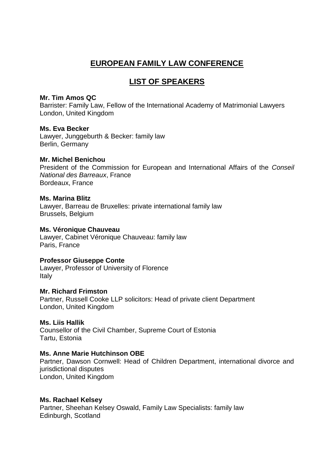# **EUROPEAN FAMILY LAW CONFERENCE**

# **LIST OF SPEAKERS**

## **Mr. Tim Amos QC**

Barrister: Family Law, Fellow of the International Academy of Matrimonial Lawyers London, United Kingdom

# **Ms. Eva Becker**

Lawyer, Junggeburth & Becker: family law Berlin, Germany

# **Mr. Michel Benichou**

President of the Commission for European and International Affairs of the *Conseil National des Barreaux*, France Bordeaux, France

#### **Ms. Marina Blitz**

Lawyer, Barreau de Bruxelles: private international family law Brussels, Belgium

## **Ms. Véronique Chauveau**

Lawyer, Cabinet Véronique Chauveau: family law Paris, France

# **Professor Giuseppe Conte**

Lawyer, Professor of University of Florence Italy

# **Mr. Richard Frimston**

Partner, Russell Cooke LLP solicitors: Head of private client Department London, United Kingdom

# **Ms. Liis Hallik**

Counsellor of the Civil Chamber, Supreme Court of Estonia Tartu, Estonia

# **Ms. Anne Marie Hutchinson OBE**

Partner, Dawson Cornwell: Head of Children Department, international divorce and jurisdictional disputes London, United Kingdom

#### **Ms. Rachael Kelsey**

Partner, Sheehan Kelsey Oswald, Family Law Specialists: family law Edinburgh, Scotland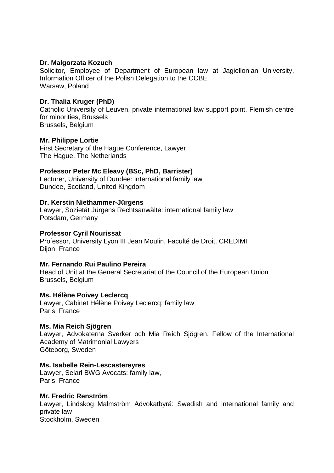## **Dr. Malgorzata Kozuch**

Solicitor, Employee of Department of European law at Jagiellonian University, Information Officer of the Polish Delegation to the CCBE Warsaw, Poland

## **Dr. Thalia Kruger (PhD)**

Catholic University of Leuven, private international law support point, Flemish centre for minorities, Brussels Brussels, Belgium

## **Mr. Philippe Lortie**

First Secretary of the Hague Conference, Lawyer The Hague, The Netherlands

# **Professor Peter Mc Eleavy (BSc, PhD, Barrister)**

Lecturer, University of Dundee: international family law Dundee, Scotland, United Kingdom

## **Dr. Kerstin Niethammer-Jürgens**

Lawyer, Sozietät Jürgens Rechtsanwälte: international family law Potsdam, Germany

### **Professor Cyril Nourissat**

Professor, University Lyon III Jean Moulin, Faculté de Droit, CREDIMI Dijon, France

#### **Mr. Fernando Rui Paulino Pereira**

Head of Unit at the General Secretariat of the Council of the European Union Brussels, Belgium

#### **Ms. Hélène Poivey Leclercq**

Lawyer, Cabinet Hélène Poivey Leclercq: family law Paris, France

#### **Ms. Mia Reich Sjögren**

Lawyer, Advokaterna Sverker och Mia Reich Sjögren, Fellow of the International Academy of Matrimonial Lawyers Göteborg, Sweden

#### **Ms. Isabelle Rein-Lescastereyres**

Lawyer, Selarl BWG Avocats: family law, Paris, France

#### **Mr. Fredric Renström**

Lawyer, Lindskog Malmström Advokatbyrå: Swedish and international family and private law Stockholm, Sweden